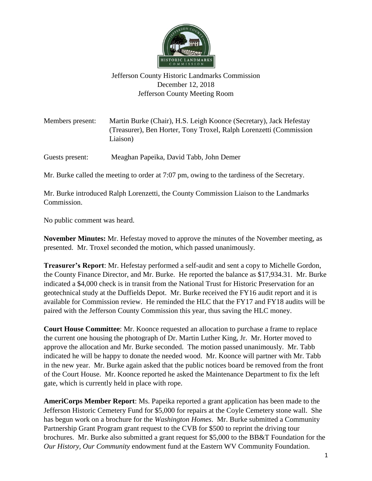

## Jefferson County Historic Landmarks Commission December 12, 2018 Jefferson County Meeting Room

| Members present: | Martin Burke (Chair), H.S. Leigh Koonce (Secretary), Jack Hefestay<br>(Treasurer), Ben Horter, Tony Troxel, Ralph Lorenzetti (Commission<br>Liaison) |
|------------------|------------------------------------------------------------------------------------------------------------------------------------------------------|
| Guests present:  | Meaghan Papeika, David Tabb, John Demer                                                                                                              |

Mr. Burke called the meeting to order at 7:07 pm, owing to the tardiness of the Secretary.

Mr. Burke introduced Ralph Lorenzetti, the County Commission Liaison to the Landmarks Commission.

No public comment was heard.

**November Minutes:** Mr. Hefestay moved to approve the minutes of the November meeting, as presented. Mr. Troxel seconded the motion, which passed unanimously.

**Treasurer's Report**: Mr. Hefestay performed a self-audit and sent a copy to Michelle Gordon, the County Finance Director, and Mr. Burke. He reported the balance as \$17,934.31. Mr. Burke indicated a \$4,000 check is in transit from the National Trust for Historic Preservation for an geotechnical study at the Duffields Depot. Mr. Burke received the FY16 audit report and it is available for Commission review. He reminded the HLC that the FY17 and FY18 audits will be paired with the Jefferson County Commission this year, thus saving the HLC money.

**Court House Committee**: Mr. Koonce requested an allocation to purchase a frame to replace the current one housing the photograph of Dr. Martin Luther King, Jr. Mr. Horter moved to approve the allocation and Mr. Burke seconded. The motion passed unanimously. Mr. Tabb indicated he will be happy to donate the needed wood. Mr. Koonce will partner with Mr. Tabb in the new year. Mr. Burke again asked that the public notices board be removed from the front of the Court House. Mr. Koonce reported he asked the Maintenance Department to fix the left gate, which is currently held in place with rope.

**AmeriCorps Member Report**: Ms. Papeika reported a grant application has been made to the Jefferson Historic Cemetery Fund for \$5,000 for repairs at the Coyle Cemetery stone wall. She has begun work on a brochure for the *Washington Homes*. Mr. Burke submitted a Community Partnership Grant Program grant request to the CVB for \$500 to reprint the driving tour brochures. Mr. Burke also submitted a grant request for \$5,000 to the BB&T Foundation for the *Our History, Our Community* endowment fund at the Eastern WV Community Foundation.